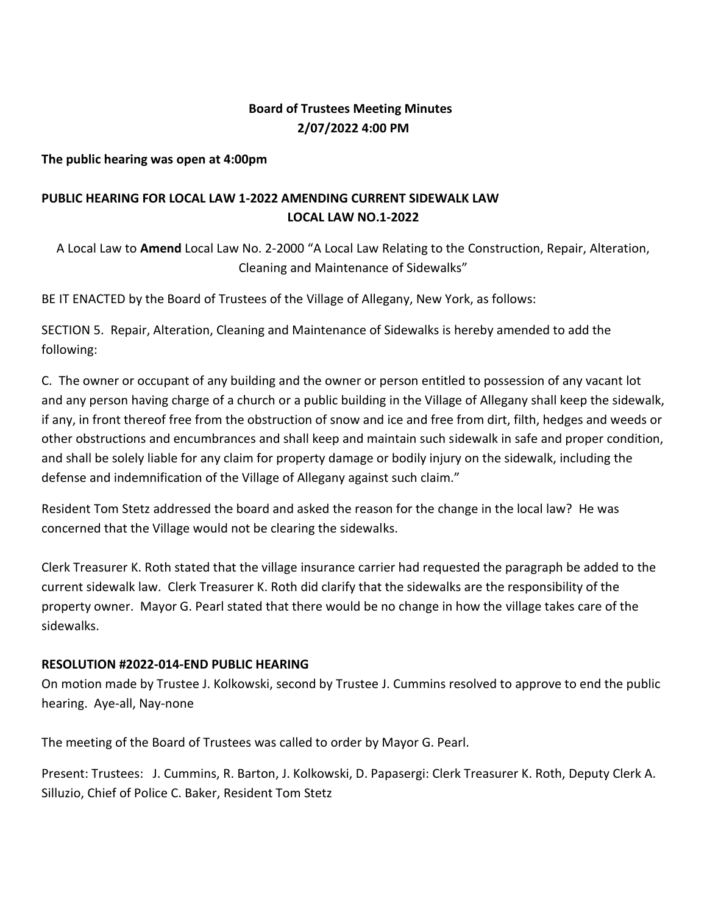# **Board of Trustees Meeting Minutes 2/07/2022 4:00 PM**

**The public hearing was open at 4:00pm**

# **PUBLIC HEARING FOR LOCAL LAW 1-2022 AMENDING CURRENT SIDEWALK LAW LOCAL LAW NO.1-2022**

A Local Law to **Amend** Local Law No. 2-2000 "A Local Law Relating to the Construction, Repair, Alteration, Cleaning and Maintenance of Sidewalks"

BE IT ENACTED by the Board of Trustees of the Village of Allegany, New York, as follows:

SECTION 5. Repair, Alteration, Cleaning and Maintenance of Sidewalks is hereby amended to add the following:

C. The owner or occupant of any building and the owner or person entitled to possession of any vacant lot and any person having charge of a church or a public building in the Village of Allegany shall keep the sidewalk, if any, in front thereof free from the obstruction of snow and ice and free from dirt, filth, hedges and weeds or other obstructions and encumbrances and shall keep and maintain such sidewalk in safe and proper condition, and shall be solely liable for any claim for property damage or bodily injury on the sidewalk, including the defense and indemnification of the Village of Allegany against such claim."

Resident Tom Stetz addressed the board and asked the reason for the change in the local law? He was concerned that the Village would not be clearing the sidewalks.

Clerk Treasurer K. Roth stated that the village insurance carrier had requested the paragraph be added to the current sidewalk law. Clerk Treasurer K. Roth did clarify that the sidewalks are the responsibility of the property owner. Mayor G. Pearl stated that there would be no change in how the village takes care of the sidewalks.

# **RESOLUTION #2022-014-END PUBLIC HEARING**

On motion made by Trustee J. Kolkowski, second by Trustee J. Cummins resolved to approve to end the public hearing. Aye-all, Nay-none

The meeting of the Board of Trustees was called to order by Mayor G. Pearl.

Present: Trustees: J. Cummins, R. Barton, J. Kolkowski, D. Papasergi: Clerk Treasurer K. Roth, Deputy Clerk A. Silluzio, Chief of Police C. Baker, Resident Tom Stetz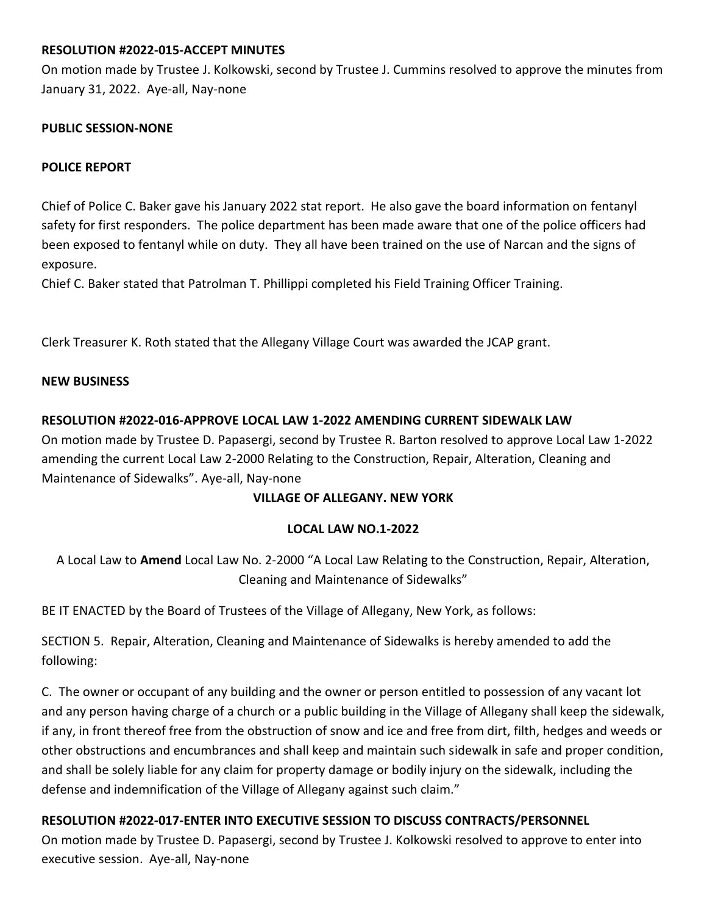## **RESOLUTION #2022-015-ACCEPT MINUTES**

On motion made by Trustee J. Kolkowski, second by Trustee J. Cummins resolved to approve the minutes from January 31, 2022. Aye-all, Nay-none

#### **PUBLIC SESSION-NONE**

### **POLICE REPORT**

Chief of Police C. Baker gave his January 2022 stat report. He also gave the board information on fentanyl safety for first responders. The police department has been made aware that one of the police officers had been exposed to fentanyl while on duty. They all have been trained on the use of Narcan and the signs of exposure.

Chief C. Baker stated that Patrolman T. Phillippi completed his Field Training Officer Training.

Clerk Treasurer K. Roth stated that the Allegany Village Court was awarded the JCAP grant.

#### **NEW BUSINESS**

## **RESOLUTION #2022-016-APPROVE LOCAL LAW 1-2022 AMENDING CURRENT SIDEWALK LAW**

On motion made by Trustee D. Papasergi, second by Trustee R. Barton resolved to approve Local Law 1-2022 amending the current Local Law 2-2000 Relating to the Construction, Repair, Alteration, Cleaning and Maintenance of Sidewalks". Aye-all, Nay-none

#### **VILLAGE OF ALLEGANY. NEW YORK**

#### **LOCAL LAW NO.1-2022**

A Local Law to **Amend** Local Law No. 2-2000 "A Local Law Relating to the Construction, Repair, Alteration, Cleaning and Maintenance of Sidewalks"

BE IT ENACTED by the Board of Trustees of the Village of Allegany, New York, as follows:

SECTION 5. Repair, Alteration, Cleaning and Maintenance of Sidewalks is hereby amended to add the following:

C. The owner or occupant of any building and the owner or person entitled to possession of any vacant lot and any person having charge of a church or a public building in the Village of Allegany shall keep the sidewalk, if any, in front thereof free from the obstruction of snow and ice and free from dirt, filth, hedges and weeds or other obstructions and encumbrances and shall keep and maintain such sidewalk in safe and proper condition, and shall be solely liable for any claim for property damage or bodily injury on the sidewalk, including the defense and indemnification of the Village of Allegany against such claim."

# **RESOLUTION #2022-017-ENTER INTO EXECUTIVE SESSION TO DISCUSS CONTRACTS/PERSONNEL**

On motion made by Trustee D. Papasergi, second by Trustee J. Kolkowski resolved to approve to enter into executive session. Aye-all, Nay-none